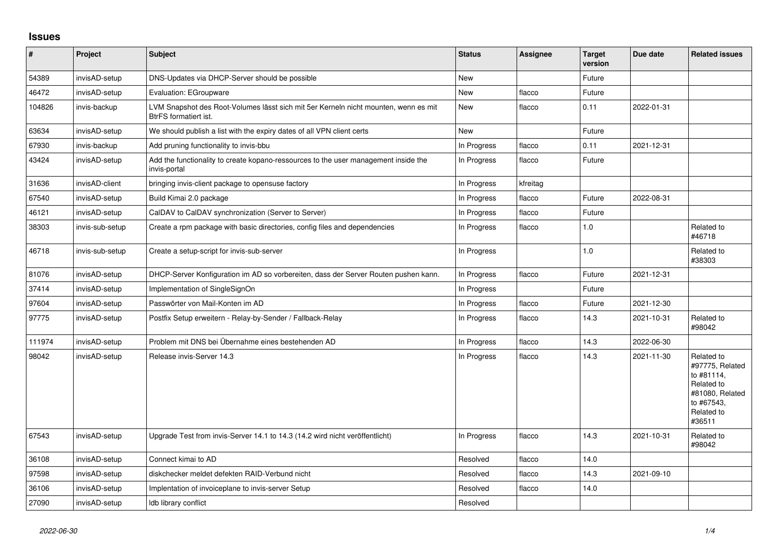## **Issues**

| $\sharp$ | Project         | Subject                                                                                                      | <b>Status</b> | <b>Assignee</b> | <b>Target</b><br>version | Due date   | <b>Related issues</b>                                                                                              |
|----------|-----------------|--------------------------------------------------------------------------------------------------------------|---------------|-----------------|--------------------------|------------|--------------------------------------------------------------------------------------------------------------------|
| 54389    | invisAD-setup   | DNS-Updates via DHCP-Server should be possible                                                               | <b>New</b>    |                 | Future                   |            |                                                                                                                    |
| 46472    | invisAD-setup   | Evaluation: EGroupware                                                                                       | New           | flacco          | Future                   |            |                                                                                                                    |
| 104826   | invis-backup    | LVM Snapshot des Root-Volumes lässt sich mit 5er Kerneln nicht mounten, wenn es mit<br>BtrFS formatiert ist. | New           | flacco          | 0.11                     | 2022-01-31 |                                                                                                                    |
| 63634    | invisAD-setup   | We should publish a list with the expiry dates of all VPN client certs                                       | New           |                 | Future                   |            |                                                                                                                    |
| 67930    | invis-backup    | Add pruning functionality to invis-bbu                                                                       | In Progress   | flacco          | 0.11                     | 2021-12-31 |                                                                                                                    |
| 43424    | invisAD-setup   | Add the functionality to create kopano-ressources to the user management inside the<br>invis-portal          | In Progress   | flacco          | Future                   |            |                                                                                                                    |
| 31636    | invisAD-client  | bringing invis-client package to opensuse factory                                                            | In Progress   | kfreitag        |                          |            |                                                                                                                    |
| 67540    | invisAD-setup   | Build Kimai 2.0 package                                                                                      | In Progress   | flacco          | Future                   | 2022-08-31 |                                                                                                                    |
| 46121    | invisAD-setup   | CalDAV to CalDAV synchronization (Server to Server)                                                          | In Progress   | flacco          | Future                   |            |                                                                                                                    |
| 38303    | invis-sub-setup | Create a rpm package with basic directories, config files and dependencies                                   | In Progress   | flacco          | 1.0                      |            | Related to<br>#46718                                                                                               |
| 46718    | invis-sub-setup | Create a setup-script for invis-sub-server                                                                   | In Progress   |                 | 1.0                      |            | Related to<br>#38303                                                                                               |
| 81076    | invisAD-setup   | DHCP-Server Konfiguration im AD so vorbereiten, dass der Server Routen pushen kann.                          | In Progress   | flacco          | Future                   | 2021-12-31 |                                                                                                                    |
| 37414    | invisAD-setup   | Implementation of SingleSignOn                                                                               | In Progress   |                 | Future                   |            |                                                                                                                    |
| 97604    | invisAD-setup   | Passwörter von Mail-Konten im AD                                                                             | In Progress   | flacco          | Future                   | 2021-12-30 |                                                                                                                    |
| 97775    | invisAD-setup   | Postfix Setup erweitern - Relay-by-Sender / Fallback-Relay                                                   | In Progress   | flacco          | 14.3                     | 2021-10-31 | Related to<br>#98042                                                                                               |
| 111974   | invisAD-setup   | Problem mit DNS bei Übernahme eines bestehenden AD                                                           | In Progress   | flacco          | 14.3                     | 2022-06-30 |                                                                                                                    |
| 98042    | invisAD-setup   | Release invis-Server 14.3                                                                                    | In Progress   | flacco          | 14.3                     | 2021-11-30 | Related to<br>#97775, Related<br>to #81114.<br>Related to<br>#81080, Related<br>to #67543,<br>Related to<br>#36511 |
| 67543    | invisAD-setup   | Upgrade Test from invis-Server 14.1 to 14.3 (14.2 wird nicht veröffentlicht)                                 | In Progress   | flacco          | 14.3                     | 2021-10-31 | Related to<br>#98042                                                                                               |
| 36108    | invisAD-setup   | Connect kimai to AD                                                                                          | Resolved      | flacco          | 14.0                     |            |                                                                                                                    |
| 97598    | invisAD-setup   | diskchecker meldet defekten RAID-Verbund nicht                                                               | Resolved      | flacco          | 14.3                     | 2021-09-10 |                                                                                                                    |
| 36106    | invisAD-setup   | Implentation of invoiceplane to invis-server Setup                                                           | Resolved      | flacco          | 14.0                     |            |                                                                                                                    |
| 27090    | invisAD-setup   | Idb library conflict                                                                                         | Resolved      |                 |                          |            |                                                                                                                    |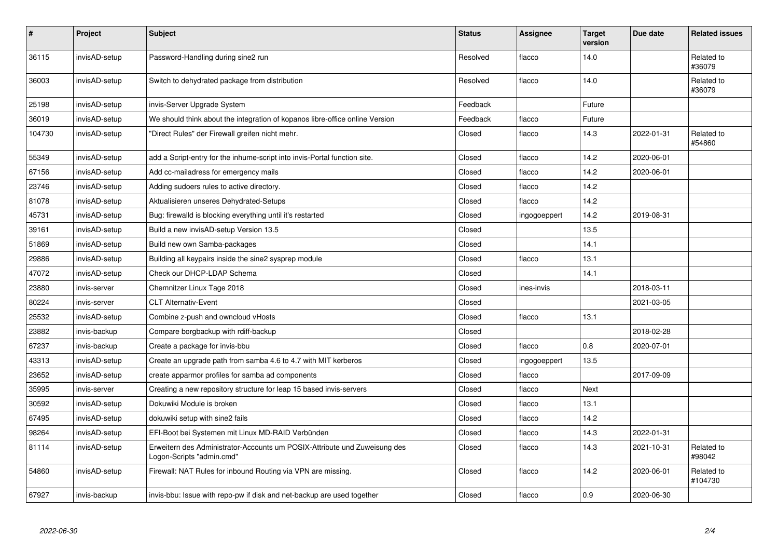| $\pmb{\#}$ | Project       | <b>Subject</b>                                                                                         | <b>Status</b> | Assignee     | <b>Target</b><br>version | Due date   | <b>Related issues</b> |
|------------|---------------|--------------------------------------------------------------------------------------------------------|---------------|--------------|--------------------------|------------|-----------------------|
| 36115      | invisAD-setup | Password-Handling during sine2 run                                                                     | Resolved      | flacco       | 14.0                     |            | Related to<br>#36079  |
| 36003      | invisAD-setup | Switch to dehydrated package from distribution                                                         | Resolved      | flacco       | 14.0                     |            | Related to<br>#36079  |
| 25198      | invisAD-setup | invis-Server Upgrade System                                                                            | Feedback      |              | Future                   |            |                       |
| 36019      | invisAD-setup | We should think about the integration of kopanos libre-office online Version                           | Feedback      | flacco       | Future                   |            |                       |
| 104730     | invisAD-setup | "Direct Rules" der Firewall greifen nicht mehr.                                                        | Closed        | flacco       | 14.3                     | 2022-01-31 | Related to<br>#54860  |
| 55349      | invisAD-setup | add a Script-entry for the inhume-script into invis-Portal function site.                              | Closed        | flacco       | 14.2                     | 2020-06-01 |                       |
| 67156      | invisAD-setup | Add cc-mailadress for emergency mails                                                                  | Closed        | flacco       | 14.2                     | 2020-06-01 |                       |
| 23746      | invisAD-setup | Adding sudoers rules to active directory.                                                              | Closed        | flacco       | 14.2                     |            |                       |
| 81078      | invisAD-setup | Aktualisieren unseres Dehydrated-Setups                                                                | Closed        | flacco       | 14.2                     |            |                       |
| 45731      | invisAD-setup | Bug: firewalld is blocking everything until it's restarted                                             | Closed        | ingogoeppert | 14.2                     | 2019-08-31 |                       |
| 39161      | invisAD-setup | Build a new invisAD-setup Version 13.5                                                                 | Closed        |              | 13.5                     |            |                       |
| 51869      | invisAD-setup | Build new own Samba-packages                                                                           | Closed        |              | 14.1                     |            |                       |
| 29886      | invisAD-setup | Building all keypairs inside the sine2 sysprep module                                                  | Closed        | flacco       | 13.1                     |            |                       |
| 47072      | invisAD-setup | Check our DHCP-LDAP Schema                                                                             | Closed        |              | 14.1                     |            |                       |
| 23880      | invis-server  | Chemnitzer Linux Tage 2018                                                                             | Closed        | ines-invis   |                          | 2018-03-11 |                       |
| 80224      | invis-server  | <b>CLT Alternativ-Event</b>                                                                            | Closed        |              |                          | 2021-03-05 |                       |
| 25532      | invisAD-setup | Combine z-push and owncloud vHosts                                                                     | Closed        | flacco       | 13.1                     |            |                       |
| 23882      | invis-backup  | Compare borgbackup with rdiff-backup                                                                   | Closed        |              |                          | 2018-02-28 |                       |
| 67237      | invis-backup  | Create a package for invis-bbu                                                                         | Closed        | flacco       | 0.8                      | 2020-07-01 |                       |
| 43313      | invisAD-setup | Create an upgrade path from samba 4.6 to 4.7 with MIT kerberos                                         | Closed        | ingogoeppert | 13.5                     |            |                       |
| 23652      | invisAD-setup | create apparmor profiles for samba ad components                                                       | Closed        | flacco       |                          | 2017-09-09 |                       |
| 35995      | invis-server  | Creating a new repository structure for leap 15 based invis-servers                                    | Closed        | flacco       | Next                     |            |                       |
| 30592      | invisAD-setup | Dokuwiki Module is broken                                                                              | Closed        | flacco       | 13.1                     |            |                       |
| 67495      | invisAD-setup | dokuwiki setup with sine2 fails                                                                        | Closed        | flacco       | 14.2                     |            |                       |
| 98264      | invisAD-setup | EFI-Boot bei Systemen mit Linux MD-RAID Verbünden                                                      | Closed        | flacco       | 14.3                     | 2022-01-31 |                       |
| 81114      | invisAD-setup | Erweitern des Administrator-Accounts um POSIX-Attribute und Zuweisung des<br>Logon-Scripts "admin.cmd" | Closed        | flacco       | 14.3                     | 2021-10-31 | Related to<br>#98042  |
| 54860      | invisAD-setup | Firewall: NAT Rules for inbound Routing via VPN are missing.                                           | Closed        | flacco       | 14.2                     | 2020-06-01 | Related to<br>#104730 |
| 67927      | invis-backup  | invis-bbu: Issue with repo-pw if disk and net-backup are used together                                 | Closed        | flacco       | 0.9                      | 2020-06-30 |                       |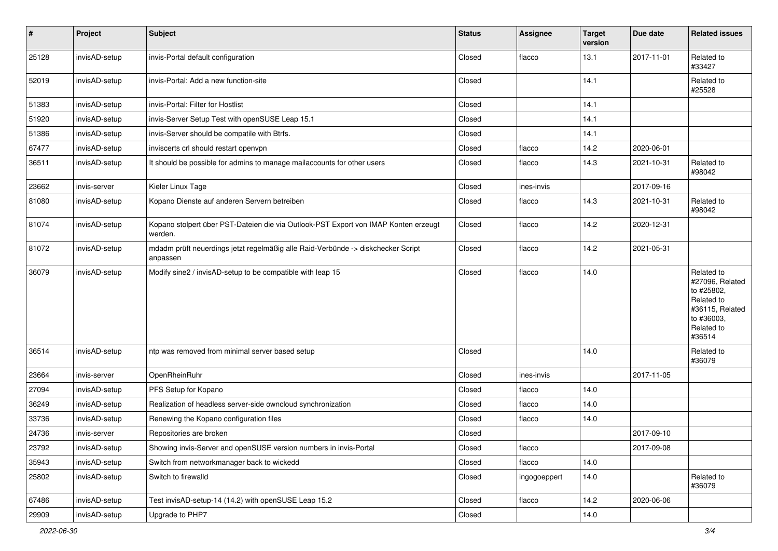| $\vert$ # | Project       | Subject                                                                                        | <b>Status</b> | <b>Assignee</b> | <b>Target</b><br>version | Due date   | <b>Related issues</b>                                                                                              |
|-----------|---------------|------------------------------------------------------------------------------------------------|---------------|-----------------|--------------------------|------------|--------------------------------------------------------------------------------------------------------------------|
| 25128     | invisAD-setup | invis-Portal default configuration                                                             | Closed        | flacco          | 13.1                     | 2017-11-01 | Related to<br>#33427                                                                                               |
| 52019     | invisAD-setup | invis-Portal: Add a new function-site                                                          | Closed        |                 | 14.1                     |            | Related to<br>#25528                                                                                               |
| 51383     | invisAD-setup | invis-Portal: Filter for Hostlist                                                              | Closed        |                 | 14.1                     |            |                                                                                                                    |
| 51920     | invisAD-setup | invis-Server Setup Test with openSUSE Leap 15.1                                                | Closed        |                 | 14.1                     |            |                                                                                                                    |
| 51386     | invisAD-setup | invis-Server should be compatile with Btrfs.                                                   | Closed        |                 | 14.1                     |            |                                                                                                                    |
| 67477     | invisAD-setup | inviscerts crl should restart openvpn                                                          | Closed        | flacco          | 14.2                     | 2020-06-01 |                                                                                                                    |
| 36511     | invisAD-setup | It should be possible for admins to manage mailaccounts for other users                        | Closed        | flacco          | 14.3                     | 2021-10-31 | Related to<br>#98042                                                                                               |
| 23662     | invis-server  | Kieler Linux Tage                                                                              | Closed        | ines-invis      |                          | 2017-09-16 |                                                                                                                    |
| 81080     | invisAD-setup | Kopano Dienste auf anderen Servern betreiben                                                   | Closed        | flacco          | 14.3                     | 2021-10-31 | Related to<br>#98042                                                                                               |
| 81074     | invisAD-setup | Kopano stolpert über PST-Dateien die via Outlook-PST Export von IMAP Konten erzeugt<br>werden. | Closed        | flacco          | 14.2                     | 2020-12-31 |                                                                                                                    |
| 81072     | invisAD-setup | mdadm prüft neuerdings jetzt regelmäßig alle Raid-Verbünde -> diskchecker Script<br>anpassen   | Closed        | flacco          | 14.2                     | 2021-05-31 |                                                                                                                    |
| 36079     | invisAD-setup | Modify sine2 / invisAD-setup to be compatible with leap 15                                     | Closed        | flacco          | 14.0                     |            | Related to<br>#27096, Related<br>to #25802,<br>Related to<br>#36115, Related<br>to #36003,<br>Related to<br>#36514 |
| 36514     | invisAD-setup | ntp was removed from minimal server based setup                                                | Closed        |                 | 14.0                     |            | Related to<br>#36079                                                                                               |
| 23664     | invis-server  | OpenRheinRuhr                                                                                  | Closed        | ines-invis      |                          | 2017-11-05 |                                                                                                                    |
| 27094     | invisAD-setup | PFS Setup for Kopano                                                                           | Closed        | flacco          | 14.0                     |            |                                                                                                                    |
| 36249     | invisAD-setup | Realization of headless server-side owncloud synchronization                                   | Closed        | flacco          | 14.0                     |            |                                                                                                                    |
| 33736     | invisAD-setup | Renewing the Kopano configuration files                                                        | Closed        | flacco          | 14.0                     |            |                                                                                                                    |
| 24736     | invis-server  | Repositories are broken                                                                        | Closed        |                 |                          | 2017-09-10 |                                                                                                                    |
| 23792     | invisAD-setup | Showing invis-Server and openSUSE version numbers in invis-Portal                              | Closed        | flacco          |                          | 2017-09-08 |                                                                                                                    |
| 35943     | invisAD-setup | Switch from networkmanager back to wickedd                                                     | Closed        | flacco          | 14.0                     |            |                                                                                                                    |
| 25802     | invisAD-setup | Switch to firewalld                                                                            | Closed        | ingogoeppert    | 14.0                     |            | Related to<br>#36079                                                                                               |
| 67486     | invisAD-setup | Test invisAD-setup-14 (14.2) with openSUSE Leap 15.2                                           | Closed        | flacco          | 14.2                     | 2020-06-06 |                                                                                                                    |
| 29909     | invisAD-setup | Upgrade to PHP7                                                                                | Closed        |                 | 14.0                     |            |                                                                                                                    |